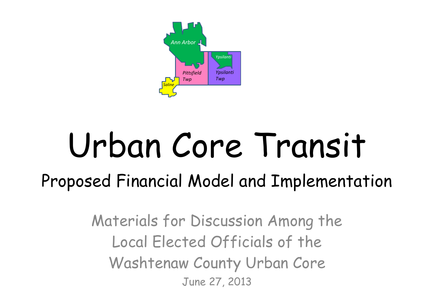Materials for Discussion Among the Local Elected Officials of the Washtenaw County Urban Core June 27, 2013

## Urban Core Transit Proposed Financial Model and Implementation

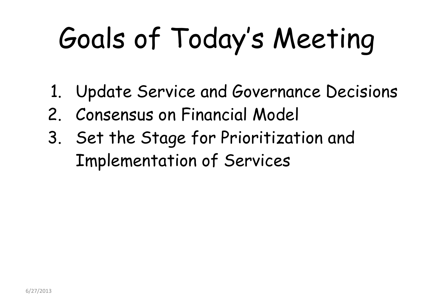# Goals of Today's Meeting

- 1. Update Service and Governance Decisions
- 2. Consensus on Financial Model
- 3. Set the Stage for Prioritization and Implementation of Services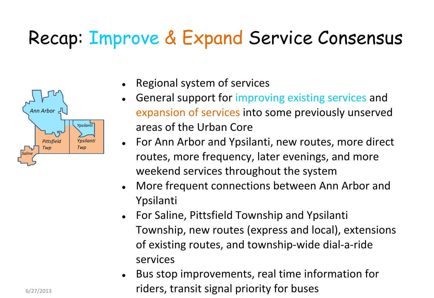### Recap: Improve & Expand Service Consensus



- Regional system of services
- General support for improving existing services and expansion of services into some previously unserved areas of the Urban Core
- For Ann Arbor and Ypsilanti, new routes, more direct routes, more frequency, later evenings, and more weekend services throughout the system
- More frequent connections between Ann Arbor and Ypsilanti
- For Saline, Pittsfield Township and Ypsilanti Township, new routes (express and local), extensions of existing routes, and township-wide dial-a-ride services
- Bus stop improvements, real time information for riders, transit signal priority for buses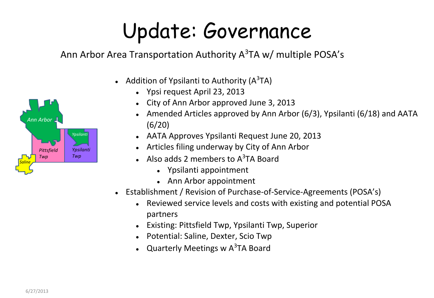### Update: Governance

Ann Arbor Area Transportation Authority A<sup>3</sup>TA w/ multiple POSA's



- Addition of Ypsilanti to Authority ( $A^3TA$ )
	- Ypsi request April 23, 2013
	- City of Ann Arbor approved June 3, 2013
	- Amended Articles approved by Ann Arbor (6/3), Ypsilanti (6/18) and AATA (6/20)
	- AATA Approves Ypsilanti Request June 20, 2013
	- Articles filing underway by City of Ann Arbor
	- Also adds 2 members to  $A^3TA$  Board
		- Ypsilanti appointment
		- Ann Arbor appointment
- Establishment / Revision of Purchase-of-Service-Agreements (POSA's)
	- Reviewed service levels and costs with existing and potential POSA partners
	- **Existing: Pittsfield Twp, Ypsilanti Twp, Superior**
	- Potential: Saline, Dexter, Scio Twp
	- Quarterly Meetings w  $A^3TA$  Board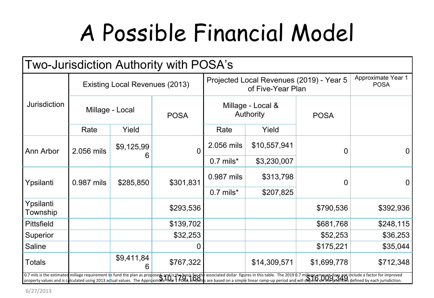## A Possible Financial Model



| Two-Jurisdiction Authority with POSA's |                                       |                 |                |                                                               |              |                                                                                                                                                                                                                                |                                          |
|----------------------------------------|---------------------------------------|-----------------|----------------|---------------------------------------------------------------|--------------|--------------------------------------------------------------------------------------------------------------------------------------------------------------------------------------------------------------------------------|------------------------------------------|
| <b>Jurisdiction</b>                    | <b>Existing Local Revenues (2013)</b> |                 |                | Projected Local Revenues (2019) - Year 5<br>of Five-Year Plan |              |                                                                                                                                                                                                                                | <b>Approximate Year 1</b><br><b>POSA</b> |
|                                        | Millage - Local                       |                 | <b>POSA</b>    | Millage - Local &<br><b>Authority</b>                         |              | <b>POSA</b>                                                                                                                                                                                                                    |                                          |
|                                        | Rate                                  | Yield           |                | Rate                                                          | Yield        |                                                                                                                                                                                                                                |                                          |
| Ann Arbor                              | 2.056 mils                            | \$9,125,99<br>6 | $\overline{0}$ | 2.056 mils                                                    | \$10,557,941 | $\boldsymbol{0}$                                                                                                                                                                                                               | $\overline{0}$                           |
|                                        |                                       |                 |                | $0.7$ mils*                                                   | \$3,230,007  |                                                                                                                                                                                                                                |                                          |
| Ypsilanti                              | 0.987 mils                            | \$285,850       | \$301,831      | 0.987 mils                                                    | \$313,798    | 0                                                                                                                                                                                                                              | $\overline{0}$                           |
|                                        |                                       |                 |                | $0.7$ mils*                                                   | \$207,825    |                                                                                                                                                                                                                                |                                          |
| Ypsilanti<br>Township                  |                                       |                 | \$293,536      |                                                               |              | \$790,536                                                                                                                                                                                                                      | \$392,936                                |
| <b>Pittsfield</b>                      |                                       |                 | \$139,702      |                                                               |              | \$681,768                                                                                                                                                                                                                      | \$248,115                                |
| Superior                               |                                       |                 | \$32,253       |                                                               |              | \$52,253                                                                                                                                                                                                                       | \$36,253                                 |
| Saline                                 |                                       |                 | U              |                                                               |              | \$175,221                                                                                                                                                                                                                      | \$35,044                                 |
| <b>Totals</b>                          |                                       | \$9,411,84<br>6 | \$767,322      |                                                               | \$14,309,571 | \$1,699,778                                                                                                                                                                                                                    | \$712,348                                |
|                                        |                                       |                 |                |                                                               |              | 0.7 mils is the estimated millage requirement to fund the plan as proposed, and is the basis for the associated dollar figures in this table. The 2019 0.7 millage amount does not include a factor for improved property valu |                                          |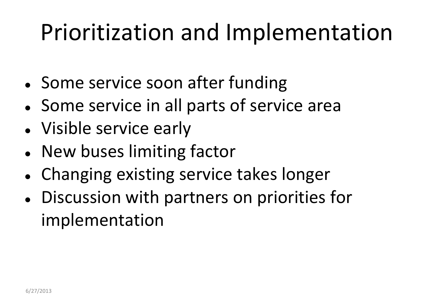### Prioritization and Implementation

- Some service soon after funding
- Some service in all parts of service area
- Visible service early
- New buses limiting factor
- Changing existing service takes longer
- Discussion with partners on priorities for implementation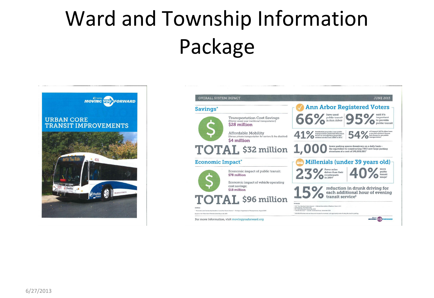### Ward and Township Information Package